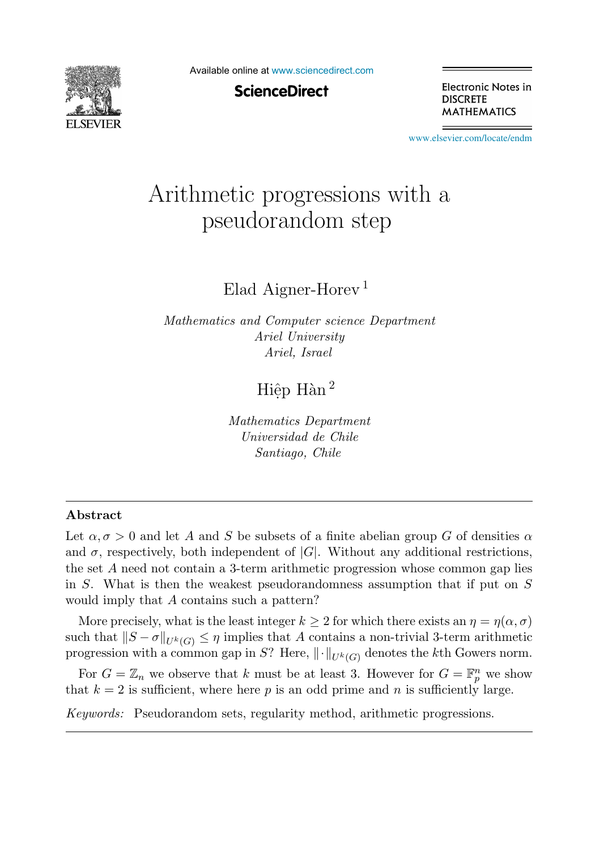

Available online at [www.sciencedirect.com](http://www.sciencedirect.com)

**ScienceDirect** 

Electronic Notes in **DISCRETE MATHEMATICS** 

[www.elsevier.com/locate/endm](http://www.elsevier.com/locate/endm)

# Arithmetic progressions with a pseudorandom step

Elad Aigner-Horev <sup>1</sup>

*Mathematics and Computer science Department Ariel University Ariel, Israel*

Hiệp Hàn  $^2$ 

*Mathematics Department Universidad de Chile Santiago, Chile*

#### **Abstract**

Let  $\alpha, \sigma > 0$  and let A and S be subsets of a finite abelian group G of densities  $\alpha$ and  $\sigma$ , respectively, both independent of  $|G|$ . Without any additional restrictions, the set A need not contain a 3-term arithmetic progression whose common gap lies in S. What is then the weakest pseudorandomness assumption that if put on S would imply that A contains such a pattern?

More precisely, what is the least integer  $k \geq 2$  for which there exists an  $\eta = \eta(\alpha, \sigma)$ such that  $||S - \sigma||_{U^k(G)} \leq \eta$  implies that A contains a non-trivial 3-term arithmetic progression with a common gap in S? Here,  $\|\cdot\|_{U^k(G)}$  denotes the kth Gowers norm.

For  $G = \mathbb{Z}_n$  we observe that k must be at least 3. However for  $G = \mathbb{F}_p^n$  we show that  $k = 2$  is sufficient, where here p is an odd prime and n is sufficiently large.

*Keywords:* Pseudorandom sets, regularity method, arithmetic progressions.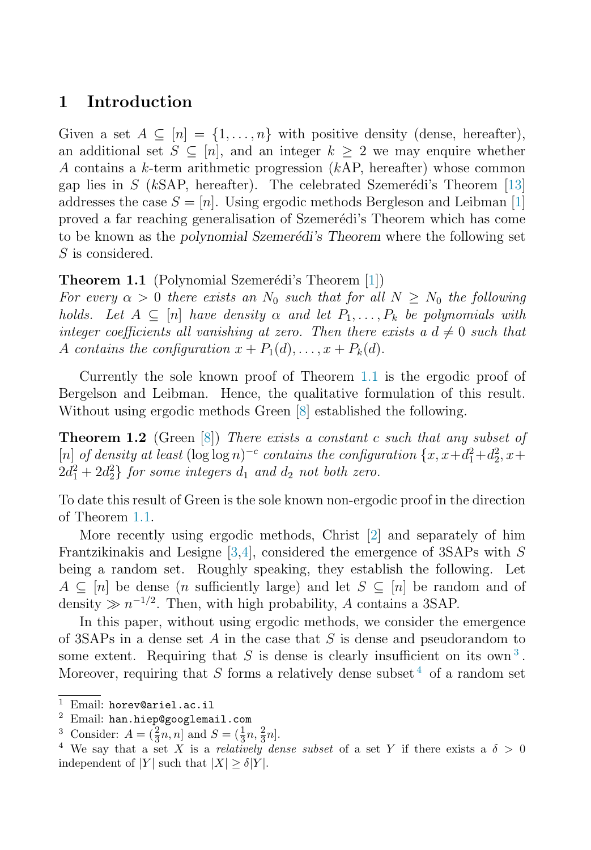## <span id="page-1-0"></span>**1 Introduction**

Given a set  $A \subseteq [n] = \{1, \ldots, n\}$  with positive density (dense, hereafter), an additional set  $S \subseteq [n]$ , and an integer  $k \geq 2$  we may enquire whether A contains a k-term arithmetic progression (kAP, hereafter) whose common gap lies in  $S$  (kSAP, hereafter). The celebrated Szemerédi's Theorem [\[13\]](#page-8-0) addresses the case  $S = [n]$ . Using ergodic methods Bergleson and Leibman [\[1\]](#page-7-0) proved a far reaching generalisation of Szemerédi's Theorem which has come to be known as the *polynomial Szemerédi's Theorem* where the following set S is considered.

**Theorem 1.1** (Polynomial Szemerédi's Theorem [\[1\]](#page-7-0))

For every  $\alpha > 0$  there exists an  $N_0$  such that for all  $N \ge N_0$  the following holds. Let  $A \subseteq [n]$  have density  $\alpha$  and let  $P_1, \ldots, P_k$  be polynomials with integer coefficients all vanishing at zero. Then there exists a  $d \neq 0$  such that A contains the configuration  $x + P_1(d), \ldots, x + P_k(d)$ .

Currently the sole known proof of Theorem 1.1 is the ergodic proof of Bergelson and Leibman. Hence, the qualitative formulation of this result. Without using ergodic methods Green [\[8\]](#page-8-0) established the following.

**Theorem 1.2** (Green [\[8\]](#page-8-0)) There exists a constant c such that any subset of [n] of density at least  $(\log \log n)^{-c}$  contains the configuration  $\{x, x+d_1^2+d_2^2, x+d_1^2+d_2^2, x+d_1^2+d_2^2, x+d_1^2+d_2^2, x+d_1^2+d_2^2, x+d_1^2+d_2^2, x+d_1^2+d_2^2, x+d_1^2+d_2^2, x+d_1^2+d_2^2, x+d_1^2+d_2^2, x+d_1^2+d_2^2, x+d_1^2+d_2^2, x+d_1^2+d_2$  $2d_1^2 + 2d_2^2$  for some integers  $d_1$  and  $d_2$  not both zero.

To date this result of Green is the sole known non-ergodic proof in the direction of Theorem 1.1.

More recently using ergodic methods, Christ [\[2\]](#page-7-0) and separately of him Frantzikinakis and Lesigne [\[3,4\]](#page-7-0), considered the emergence of 3SAPs with S being a random set. Roughly speaking, they establish the following. Let  $A \subseteq [n]$  be dense (*n* sufficiently large) and let  $S \subseteq [n]$  be random and of density  $\gg n^{-1/2}$ . Then, with high probability, A contains a 3SAP.

In this paper, without using ergodic methods, we consider the emergence of 3SAPs in a dense set A in the case that S is dense and pseudorandom to some extent. Requiring that  $S$  is dense is clearly insufficient on its own<sup>3</sup>. Moreover, requiring that S forms a relatively dense subset  $4$  of a random set

<sup>&</sup>lt;sup>1</sup> Email: horev@ariel.ac.il<br><sup>2</sup> Email: han.hiep@googlemail.com

<sup>&</sup>lt;sup>3</sup> Consider:  $A = (\frac{2}{3}n, n]$  and  $S = (\frac{1}{3}n, \frac{2}{3}n]$ .<br><sup>4</sup> We say that a set X is a *relatively de* 

<sup>&</sup>lt;sup>4</sup> We say that a set X is a *relatively dense subset* of a set Y if there exists a  $\delta > 0$ independent of |Y| such that  $|X| \ge \delta |Y|$ .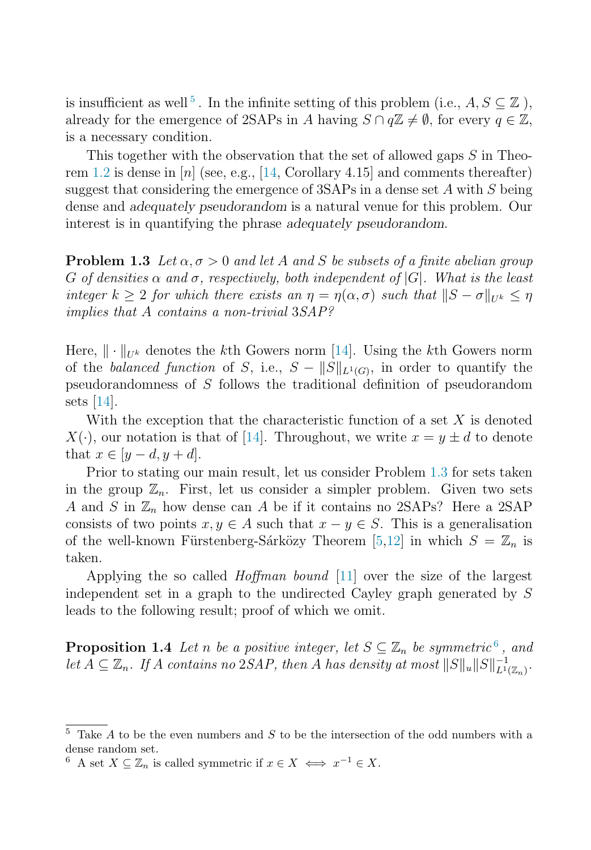<span id="page-2-0"></span>is insufficient as well<sup>5</sup>. In the infinite setting of this problem (i.e.,  $A, S \subseteq \mathbb{Z}$ ), already for the emergence of 2SAPs in A having  $S \cap q\mathbb{Z} \neq \emptyset$ , for every  $q \in \mathbb{Z}$ , is a necessary condition.

This together with the observation that the set of allowed gaps S in Theo-rem [1.2](#page-1-0) is dense in  $[n]$  (see, e.g., [\[14,](#page-8-0) Corollary 4.15] and comments thereafter) suggest that considering the emergence of  $3SAPs$  in a dense set A with S being dense and *adequately pseudorandom* is a natural venue for this problem. Our interest is in quantifying the phrase *adequately pseudorandom*.

**Problem 1.3** Let  $\alpha, \sigma > 0$  and let A and S be subsets of a finite abelian group G of densities  $\alpha$  and  $\sigma$ , respectively, both independent of  $|G|$ . What is the least integer  $k \geq 2$  for which there exists an  $\eta = \eta(\alpha, \sigma)$  such that  $||S - \sigma||_{U^k} \leq \eta$ implies that A contains a non-trivial 3SAP?

Here,  $\|\cdot\|_{U^k}$  denotes the kth Gowers norm [\[14\]](#page-8-0). Using the kth Gowers norm of the balanced function of S, i.e.,  $S - ||S||_{L^1(G)}$ , in order to quantify the pseudorandomness of S follows the traditional definition of pseudorandom sets [\[14\]](#page-8-0).

With the exception that the characteristic function of a set  $X$  is denoted  $X(\cdot)$ , our notation is that of [\[14\]](#page-8-0). Throughout, we write  $x = y \pm d$  to denote that  $x \in |y-d, y+d|$ .

Prior to stating our main result, let us consider Problem 1.3 for sets taken in the group  $\mathbb{Z}_n$ . First, let us consider a simpler problem. Given two sets A and S in  $\mathbb{Z}_n$  how dense can A be if it contains no 2SAPs? Here a 2SAP consists of two points  $x, y \in A$  such that  $x - y \in S$ . This is a generalisation of the well-known Fürstenberg-Sárközy Theorem [\[5,](#page-7-0)[12\]](#page-8-0) in which  $S = \mathbb{Z}_n$  is taken.

Applying the so called *Hoffman bound* [\[11\]](#page-8-0) over the size of the largest independent set in a graph to the undirected Cayley graph generated by S leads to the following result; proof of which we omit.

**Proposition 1.4** Let n be a positive integer, let  $S \subseteq \mathbb{Z}_n$  be symmetric<sup>6</sup>, and let  $A \subseteq \mathbb{Z}_n$ . If A contains no 2SAP, then A has density at most  $||S||_u ||S||_{L^1(\mathbb{Z}_n)}^{-1}$ .

 $5$  Take A to be the even numbers and S to be the intersection of the odd numbers with a dense random set.

<sup>6</sup> A set  $X \subseteq \mathbb{Z}_n$  is called symmetric if  $x \in X \iff x^{-1} \in X$ .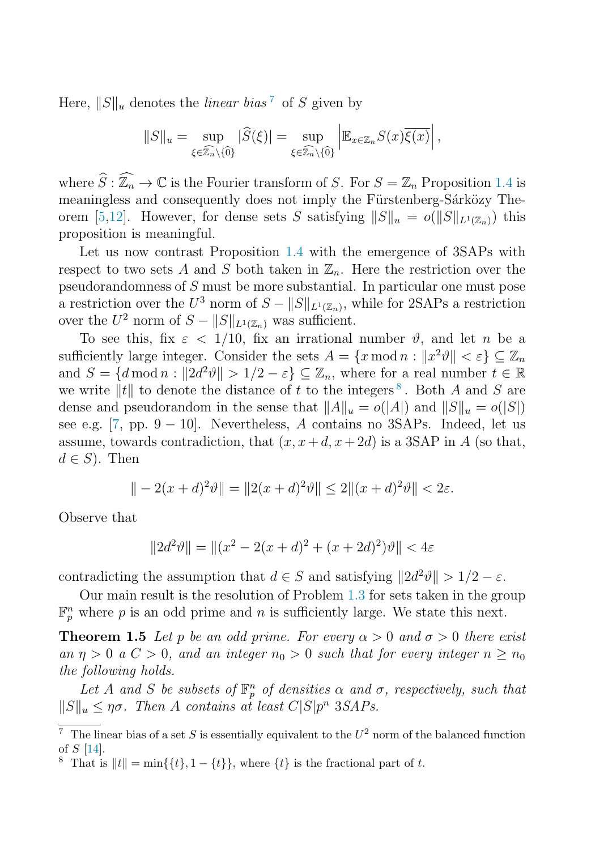<span id="page-3-0"></span>Here,  $||S||_u$  denotes the *linear bias*<sup>7</sup> of S given by

$$
||S||_u = \sup_{\xi \in \widehat{\mathbb{Z}_n} \setminus \{\widehat{0}\}} |\widehat{S}(\xi)| = \sup_{\xi \in \widehat{\mathbb{Z}_n} \setminus \{\widehat{0}\}} \left| \mathbb{E}_{x \in \mathbb{Z}_n} S(x) \overline{\xi(x)} \right|,
$$

where  $\widehat{S} : \widehat{\mathbb{Z}_n} \to \mathbb{C}$  is the Fourier transform of S. For  $S = \mathbb{Z}_n$  Proposition [1.4](#page-2-0) is meaningless and consequently does not imply the Fürstenberg-Sárközy The-orem [\[5,](#page-7-0)[12\]](#page-8-0). However, for dense sets S satisfying  $||S||_u = o(||S||_{L^1(\mathbb{Z}_n)})$  this proposition is meaningful.

Let us now contrast Proposition [1.4](#page-2-0) with the emergence of 3SAPs with respect to two sets A and S both taken in  $\mathbb{Z}_n$ . Here the restriction over the pseudorandomness of S must be more substantial. In particular one must pose a restriction over the  $U^3$  norm of  $S - ||S||_{L^1(\mathbb{Z}_n)}$ , while for 2SAPs a restriction over the  $U^2$  norm of  $S - ||S||_{L^1(\mathbb{Z}_n)}$  was sufficient.

To see this, fix  $\varepsilon$  < 1/10, fix an irrational number  $\vartheta$ , and let n be a sufficiently large integer. Consider the sets  $A = \{x \mod n : ||x^2 \vartheta|| < \varepsilon\} \subset \mathbb{Z}_n$ and  $S = \{d \mod n : ||2d^2\theta|| > 1/2 - \varepsilon\} \subseteq \mathbb{Z}_n$ , where for a real number  $t \in \mathbb{R}$ we write  $||t||$  to denote the distance of t to the integers<sup>8</sup>. Both A and S are dense and pseudorandom in the sense that  $||A||_u = o(|A|)$  and  $||S||_u = o(|S|)$ see e.g. [\[7,](#page-7-0) pp. 9 – 10]. Nevertheless, A contains no 3SAPs. Indeed, let us assume, towards contradiction, that  $(x, x + d, x + 2d)$  is a 3SAP in A (so that,  $d \in S$ ). Then

$$
\| - 2(x+d)^2 \vartheta \| = \| 2(x+d)^2 \vartheta \| \le 2 \| (x+d)^2 \vartheta \| < 2\varepsilon.
$$

Observe that

$$
||2d^2\theta|| = ||(x^2 - 2(x+d)^2 + (x+2d)^2)\theta|| < 4\varepsilon
$$

contradicting the assumption that  $d \in S$  and satisfying  $||2d^2\theta|| > 1/2 - \varepsilon$ .

Our main result is the resolution of Problem [1.3](#page-2-0) for sets taken in the group  $\mathbb{F}_p^n$  where p is an odd prime and n is sufficiently large. We state this next.

**Theorem 1.5** Let p be an odd prime. For every  $\alpha > 0$  and  $\sigma > 0$  there exist an  $\eta > 0$  a  $C > 0$ , and an integer  $n_0 > 0$  such that for every integer  $n \geq n_0$ the following holds.

Let A and S be subsets of  $\mathbb{F}_p^n$  of densities  $\alpha$  and  $\sigma$ , respectively, such that  $||S||_u \leq \eta \sigma$ . Then A contains at least  $C|S|p^n$  3SAPs.

 $\overline{7}$  The linear bias of a set S is essentially equivalent to the  $U^2$  norm of the balanced function of  $S$  [\[14\]](#page-8-0).

<sup>&</sup>lt;sup>8</sup> That is  $||t|| = \min\{\{t\}, 1 - \{t\}\}\$ , where  $\{t\}$  is the fractional part of t.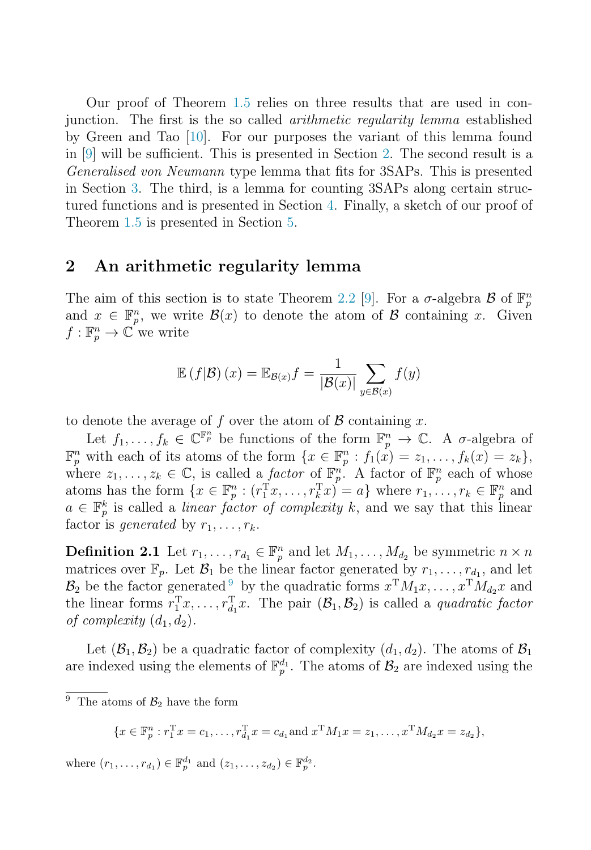<span id="page-4-0"></span>Our proof of Theorem [1.5](#page-3-0) relies on three results that are used in conjunction. The first is the so called arithmetic regularity lemma established by Green and Tao [\[10\]](#page-8-0). For our purposes the variant of this lemma found in [\[9\]](#page-8-0) will be sufficient. This is presented in Section 2. The second result is a Generalised von Neumann type lemma that fits for 3SAPs. This is presented in Section [3.](#page-5-0) The third, is a lemma for counting 3SAPs along certain structured functions and is presented in Section [4.](#page-6-0) Finally, a sketch of our proof of Theorem [1.5](#page-3-0) is presented in Section [5.](#page-6-0)

#### **2 An arithmetic regularity lemma**

The aim of this section is to state Theorem [2.2](#page-5-0) [\[9\]](#page-8-0). For a  $\sigma$ -algebra  $\mathcal{B}$  of  $\mathbb{F}_p^n$ and  $x \in \mathbb{F}_p^n$ , we write  $\mathcal{B}(x)$  to denote the atom of  $\mathcal B$  containing x. Given  $f: \mathbb{F}_p^n \to \mathbb{C}^r$  we write

$$
\mathbb{E}\left(f|\mathcal{B}\right)(x) = \mathbb{E}_{\mathcal{B}(x)}f = \frac{1}{|\mathcal{B}(x)|} \sum_{y \in \mathcal{B}(x)} f(y)
$$

to denote the average of f over the atom of  $\mathcal B$  containing x.

Let  $f_1, \ldots, f_k \in \mathbb{C}^{\mathbb{F}_p^n}$  be functions of the form  $\mathbb{F}_p^n \to \mathbb{C}$ . A  $\sigma$ -algebra of  $\mathbb{F}_p^n$  with each of its atoms of the form  $\{x \in \mathbb{F}_p^n : f_1(x) = z_1, \ldots, f_k(x) = z_k\},\$ where  $z_1, \ldots, z_k \in \mathbb{C}$ , is called a *factor* of  $\mathbb{F}_p^n$ . A factor of  $\mathbb{F}_p^n$  each of whose atoms has the form  $\{x \in \mathbb{F}_p^n : (r_1^Tx, \ldots, r_k^Tx) = a\}$  where  $r_1, \ldots, r_k \in \mathbb{F}_p^n$  and  $a \in \mathbb{F}_p^k$  is called a *linear factor of complexity*  $k$  and we say that this linear  $a \in \mathbb{F}_p^k$  is called a *linear factor of complexity* k, and we say that this linear factor is *generated* by  $r_1, \ldots, r_k$ .

**Definition 2.1** Let  $r_1, \ldots, r_{d_1} \in \mathbb{F}_p^n$  and let  $M_1, \ldots, M_{d_2}$  be symmetric  $n \times n$ <br>metrics such  $\mathbb{F}_p$ . Let  $P$  be the linear factor generated by  $p$ , and let matrices over  $\mathbb{F}_p$ . Let  $\mathcal{B}_1$  be the linear factor generated by  $r_1,\ldots,r_{d_1}$ , and let  $\mathcal{B}_2$  be the factor generated <sup>9</sup> by the quadratic forms  $x^TM_1x, \ldots, x^TM_{d_2}x$  and the linear forms  $r_1^{\mathrm{T}}x, \ldots, r_{d_1}^{\mathrm{T}}x$ . The pair  $(\mathcal{B}_1, \mathcal{B}_2)$  is called a *quadratic factor*<br>of complexity  $(d, d)$ of complexity  $(d_1, d_2)$ .

Let  $(\mathcal{B}_1, \mathcal{B}_2)$  be a quadratic factor of complexity  $(d_1, d_2)$ . The atoms of  $\mathcal{B}_1$ are indexed using the elements of  $\mathbb{F}_p^{d_1}$ . The atoms of  $\mathcal{B}_2$  are indexed using the

$$
\{x \in \mathbb{F}_p^n : r_1^{\mathrm{T}} x = c_1, \dots, r_{d_1}^{\mathrm{T}} x = c_{d_1} \text{ and } x^{\mathrm{T}} M_1 x = z_1, \dots, x^{\mathrm{T}} M_{d_2} x = z_{d_2}\},\
$$

where  $(r_1, ..., r_{d_1}) \in \mathbb{F}_p^{d_1}$  and  $(z_1, ..., z_{d_2}) \in \mathbb{F}_p^{d_2}$ .

<sup>&</sup>lt;sup>9</sup> The atoms of  $\mathcal{B}_2$  have the form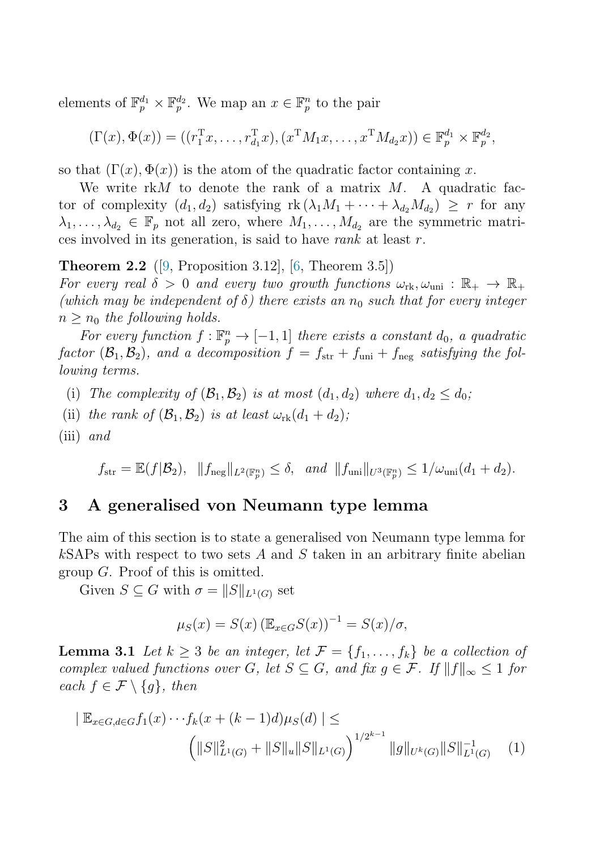<span id="page-5-0"></span>elements of  $\mathbb{F}_p^{d_1} \times \mathbb{F}_p^{d_2}$ . We map an  $x \in \mathbb{F}_p^n$  to the pair

$$
(\Gamma(x), \Phi(x)) = ((r_1^{\mathrm{T}} x, \dots, r_{d_1}^{\mathrm{T}} x), (x^{\mathrm{T}} M_1 x, \dots, x^{\mathrm{T}} M_{d_2} x)) \in \mathbb{F}_p^{d_1} \times \mathbb{F}_p^{d_2},
$$

so that  $(\Gamma(x), \Phi(x))$  is the atom of the quadratic factor containing x.

We write  $rkM$  to denote the rank of a matrix  $M$ . A quadratic factor of complexity  $(d_1, d_2)$  satisfying  $rk (\lambda_1 M_1 + \cdots + \lambda_{d_2} M_{d_2}) \geq r$  for any  $\lambda_1,\ldots,\lambda_{d_2} \in \mathbb{F}_p$  not all zero, where  $M_1,\ldots,M_{d_2}$  are the symmetric matrices involved in its generation, is said to have rank at least r.

**Theorem 2.2** ([\[9,](#page-8-0) Proposition 3.12], [\[6,](#page-7-0) Theorem 3.5])

For every real  $\delta > 0$  and every two growth functions  $\omega_{\rm rk}, \omega_{\rm uni} : \mathbb{R}_+ \to \mathbb{R}_+$ (which may be independent of  $\delta$ ) there exists an  $n_0$  such that for every integer  $n \geq n_0$  the following holds.

For every function  $f : \mathbb{F}_p^n \to [-1,1]$  there exists a constant  $d_0$ , a quadratic<br>ten  $(P, P)$  and a deconnecition  $f = f + f + f$  estisting the fall factor  $(\mathcal{B}_1, \mathcal{B}_2)$ , and a decomposition  $f = f_{str} + f_{uni} + f_{neg}$  satisfying the following terms.

- (i) The complexity of  $(\mathcal{B}_1, \mathcal{B}_2)$  is at most  $(d_1, d_2)$  where  $d_1, d_2 \leq d_0$ ;
- (ii) the rank of  $(\mathcal{B}_1, \mathcal{B}_2)$  is at least  $\omega_{\rm rk}(d_1 + d_2)$ ;
- $(iii)$  and

 $f_{\rm str} = \mathbb{E}(f|\mathcal{B}_2), \ \ \|f_{\rm neg}\|_{L^2(\mathbb{F}_p^n)} \leq \delta, \ \ and \ \ \|f_{\rm uni}\|_{U^3(\mathbb{F}_p^n)} \leq 1/\omega_{\rm uni}(d_1+d_2).$ 

#### **3 A generalised von Neumann type lemma**

The aim of this section is to state a generalised von Neumann type lemma for  $k$ SAPs with respect to two sets A and S taken in an arbitrary finite abelian group G. Proof of this is omitted.

Given  $S \subseteq G$  with  $\sigma = ||S||_{L^1(G)}$  set

$$
\mu_S(x) = S(x) \left( \mathbb{E}_{x \in G} S(x) \right)^{-1} = S(x) / \sigma,
$$

**Lemma 3.1** Let  $k \geq 3$  be an integer, let  $\mathcal{F} = \{f_1, \ldots, f_k\}$  be a collection of complex valued functions over G, let  $S \subseteq G$ , and fix  $g \in \mathcal{F}$ . If  $||f||_{\infty} \leq 1$  for each  $f \in \mathcal{F} \setminus \{g\}$ , then

$$
|\mathbb{E}_{x \in G, d \in G} f_1(x) \cdots f_k(x + (k-1)d)\mu_S(d)| \le
$$

$$
\left( \|S\|_{L^1(G)}^2 + \|S\|_u \|S\|_{L^1(G)} \right)^{1/2^{k-1}} \|g\|_{U^k(G)} \|S\|_{L^1(G)}^{-1} \tag{1}
$$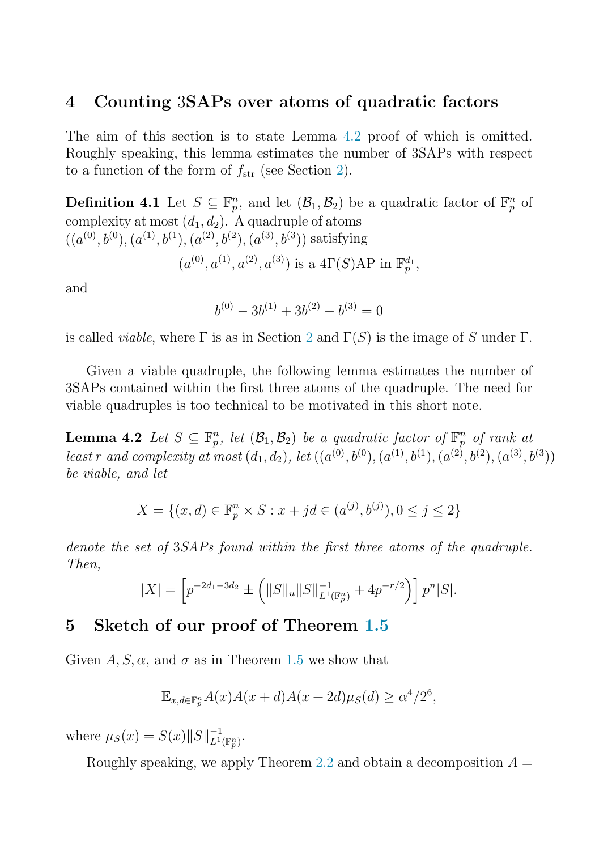#### <span id="page-6-0"></span>**4 Counting** 3**SAPs over atoms of quadratic factors**

The aim of this section is to state Lemma 4.2 proof of which is omitted. Roughly speaking, this lemma estimates the number of 3SAPs with respect to a function of the form of  $f_{\text{str}}$  (see Section [2\)](#page-4-0).

**Definition 4.1** Let  $S \subseteq \mathbb{F}_p^n$ , and let  $(\mathcal{B}_1, \mathcal{B}_2)$  be a quadratic factor of  $\mathbb{F}_p^n$  of complexity at most  $(d_1, d_2)$ . A quadruple of atoms  $((a^{(0)}, b^{(0)}, (a^{(1)}, b^{(1)}, (a^{(2)}, b^{(2)}, (a^{(3)}, b^{(3)}))$  satisfying

$$
(a^{(0)}, a^{(1)}, a^{(2)}, a^{(3)})
$$
 is a  $4\Gamma(S)AP$  in  $\mathbb{F}_p^{d_1}$ ,

and

$$
b^{(0)} - 3b^{(1)} + 3b^{(2)} - b^{(3)} = 0
$$

is called *viable*, where  $\Gamma$  is as in Section [2](#page-4-0) and  $\Gamma(S)$  is the image of S under  $\Gamma$ .

Given a viable quadruple, the following lemma estimates the number of 3SAPs contained within the first three atoms of the quadruple. The need for viable quadruples is too technical to be motivated in this short note.

**Lemma 4.2** Let  $S \subseteq \mathbb{F}_p^n$ , let  $(\mathcal{B}_1, \mathcal{B}_2)$  be a quadratic factor of  $\mathbb{F}_p^n$  of rank at least r and complexity at most  $(d_1, d_2)$ , let  $((a^{(0)}, b^{(0)}, (a^{(1)}, b^{(1)}, (a^{(2)}, b^{(2)}, (a^{(3)}, b^{(3)})))$ be viable, and let

$$
X = \{(x, d) \in \mathbb{F}_p^n \times S : x + jd \in (a^{(j)}, b^{(j)}), 0 \le j \le 2\}
$$

denote the set of 3SAPs found within the first three atoms of the quadruple. Then,

$$
|X| = \left[ p^{-2d_1 - 3d_2} \pm \left( ||S||_u ||S||_{L^1(\mathbb{F}_p^n)}^{-1} + 4p^{-r/2} \right) \right] p^n |S|.
$$

## **5 Sketch of our proof of Theorem [1.5](#page-3-0)**

Given  $A, S, \alpha$ , and  $\sigma$  as in Theorem [1.5](#page-3-0) we show that

$$
\mathbb{E}_{x,d\in\mathbb{F}_p^n} A(x)A(x+d)A(x+2d)\mu_S(d) \ge \alpha^4/2^6,
$$

where  $\mu_S(x) = S(x) \|S\|_{L^1(\mathbb{F}_p^n)}^{-1}$ .

Roughly speaking, we apply Theorem [2.2](#page-5-0) and obtain a decomposition  $A =$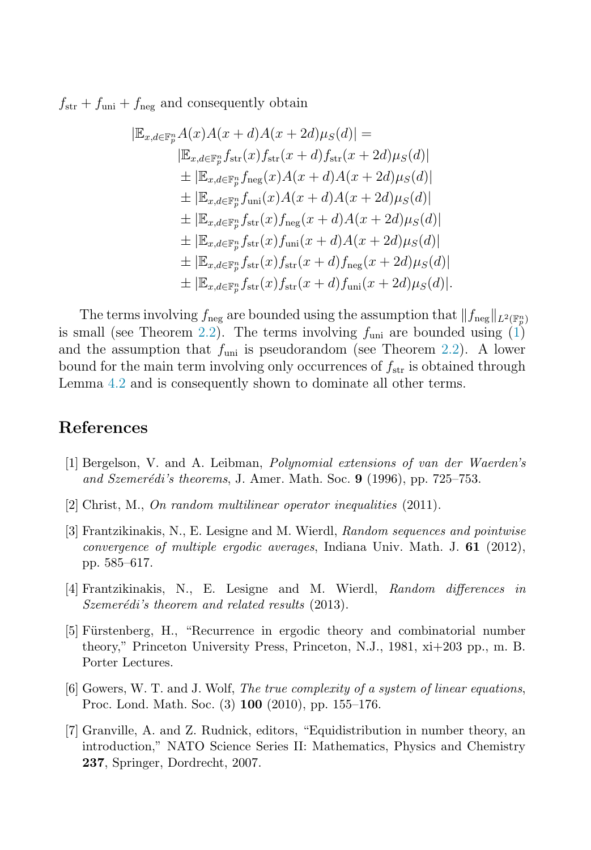<span id="page-7-0"></span> $f_{\text{str}} + f_{\text{uni}} + f_{\text{neg}}$  and consequently obtain

$$
|\mathbb{E}_{x,d \in \mathbb{F}_p^n} A(x) A(x + d) A(x + 2d) \mu_S(d)| =
$$
  
\n
$$
|\mathbb{E}_{x,d \in \mathbb{F}_p^n} f_{\text{str}}(x) f_{\text{str}}(x + d) f_{\text{str}}(x + 2d) \mu_S(d)|
$$
  
\n
$$
\pm |\mathbb{E}_{x,d \in \mathbb{F}_p^n} f_{\text{neg}}(x) A(x + d) A(x + 2d) \mu_S(d)|
$$
  
\n
$$
\pm |\mathbb{E}_{x,d \in \mathbb{F}_p^n} f_{\text{uni}}(x) A(x + d) A(x + 2d) \mu_S(d)|
$$
  
\n
$$
\pm |\mathbb{E}_{x,d \in \mathbb{F}_p^n} f_{\text{str}}(x) f_{\text{neg}}(x + d) A(x + 2d) \mu_S(d)|
$$
  
\n
$$
\pm |\mathbb{E}_{x,d \in \mathbb{F}_p^n} f_{\text{str}}(x) f_{\text{uni}}(x + d) A(x + 2d) \mu_S(d)|
$$
  
\n
$$
\pm |\mathbb{E}_{x,d \in \mathbb{F}_p^n} f_{\text{str}}(x) f_{\text{str}}(x + d) f_{\text{neg}}(x + 2d) \mu_S(d)|
$$
  
\n
$$
\pm |\mathbb{E}_{x,d \in \mathbb{F}_p^n} f_{\text{str}}(x) f_{\text{str}}(x + d) f_{\text{uni}}(x + 2d) \mu_S(d)|.
$$

The terms involving  $f_{\text{neg}}$  are bounded using the assumption that  $||f_{\text{neg}}||_{L^2(\mathbb{F}_n^n)}$ is small (see Theorem [2.2\)](#page-5-0). The terms involving  $f_{\text{uni}}$  are bounded using [\(1\)](#page-5-0) and the assumption that  $f_{\text{uni}}$  is pseudorandom (see Theorem [2.2\)](#page-5-0). A lower bound for the main term involving only occurrences of  $f_{\text{str}}$  is obtained through Lemma [4.2](#page-6-0) and is consequently shown to dominate all other terms.

### **References**

- [1] Bergelson, V. and A. Leibman, *Polynomial extensions of van der Waerden's and Szemer´edi's theorems*, J. Amer. Math. Soc. **9** (1996), pp. 725–753.
- [2] Christ, M., *On random multilinear operator inequalities* (2011).
- [3] Frantzikinakis, N., E. Lesigne and M. Wierdl, *Random sequences and pointwise convergence of multiple ergodic averages*, Indiana Univ. Math. J. **61** (2012), pp. 585–617.
- [4] Frantzikinakis, N., E. Lesigne and M. Wierdl, *Random differences in Szemerédi's theorem and related results* (2013).
- [5] Fürstenberg, H., "Recurrence in ergodic theory and combinatorial number theory," Princeton University Press, Princeton, N.J., 1981, xi+203 pp., m. B. Porter Lectures.
- [6] Gowers, W. T. and J. Wolf, *The true complexity of a system of linear equations*, Proc. Lond. Math. Soc. (3) **100** (2010), pp. 155–176.
- [7] Granville, A. and Z. Rudnick, editors, "Equidistribution in number theory, an introduction," NATO Science Series II: Mathematics, Physics and Chemistry **237**, Springer, Dordrecht, 2007.